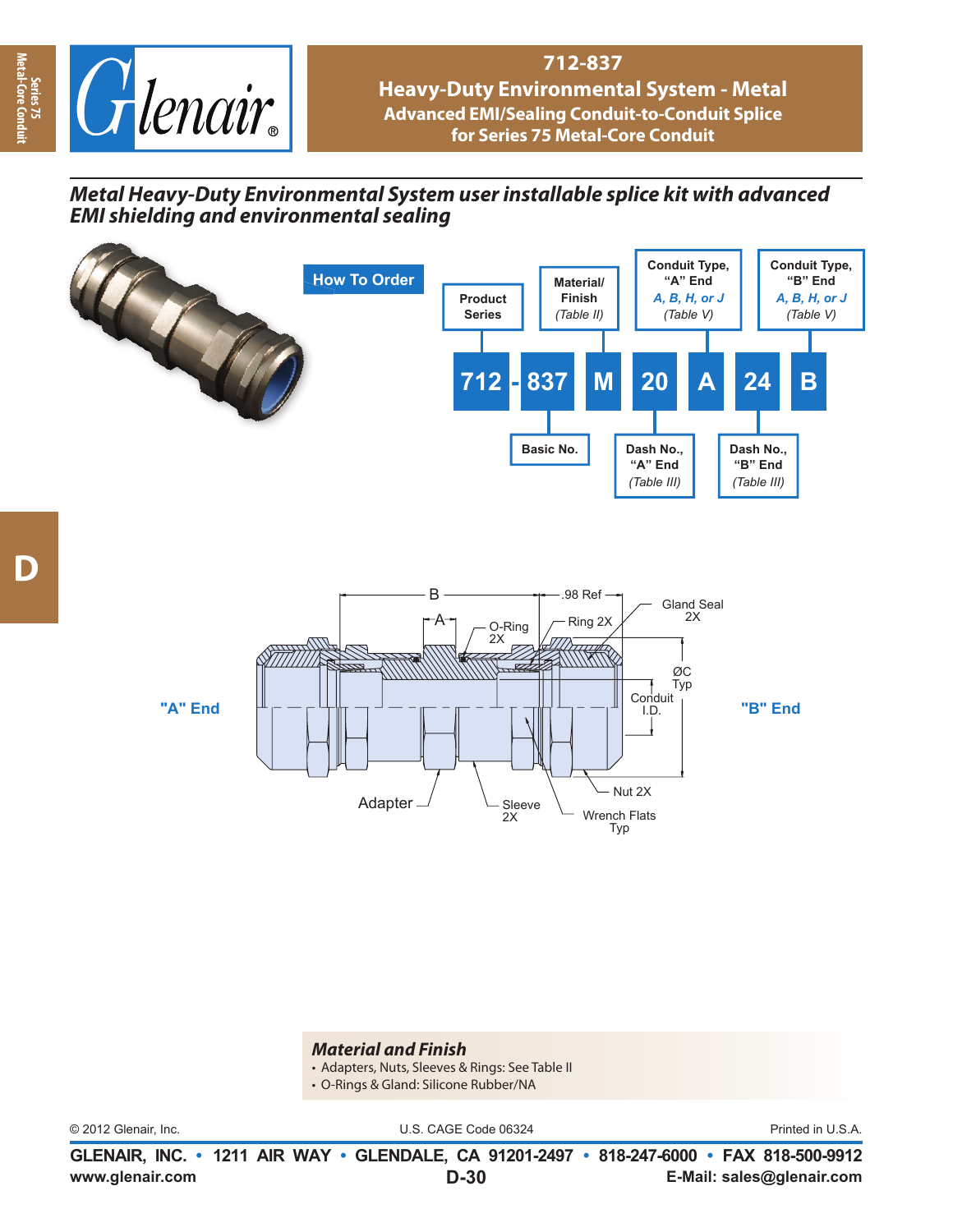

# **712-837**

**Heavy-Duty Environmental System - Metal Advanced EMI/Sealing Conduit-to-Conduit Splice for Series 75 Metal-Core Conduit**

## *Metal Heavy-Duty Environmental System user installable splice kit with advanced EMI shielding and environmental sealing E*



#### *Material and Finish*

- Adapters, Nuts, Sleeves & Rings: See Table II
- O-Rings & Gland: Silicone Rubber/NA

© 2012 Glenair, Inc. U.S. CAGE Code 06324 Printed in U.S.A.

**www.glenair.com E-Mail: sales@glenair.com GLENAIR, INC. • 1211 AIR WAY • GLENDALE, CA 91201-2497 • 818-247-6000 • FAX 818-500-9912 D-30**

**Series 75<br>Metal-Core Cor Metal-Core Conduit**